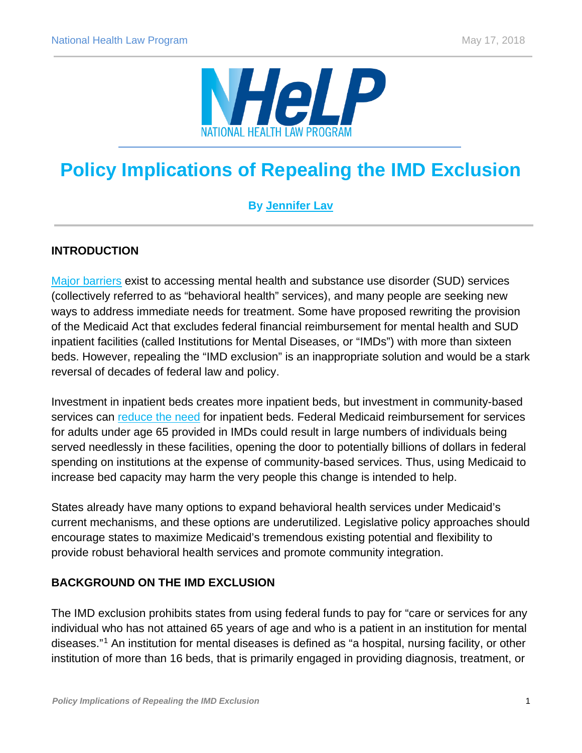

# **Policy Implications of Repealing the IMD Exclusion**

# **By [Jennifer Lav](http://www.healthlaw.org/about/staff/jennifer-lav)**

## **INTRODUCTION**

[Major barriers](https://www.samhsa.gov/data/sites/default/files/NSDUH-FFR1-2016/NSDUH-FFR1-2016.pdf) exist to accessing mental health and substance use disorder (SUD) services (collectively referred to as "behavioral health" services), and many people are seeking new ways to address immediate needs for treatment. Some have proposed rewriting the provision of the Medicaid Act that excludes federal financial reimbursement for mental health and SUD inpatient facilities (called Institutions for Mental Diseases, or "IMDs") with more than sixteen beds. However, repealing the "IMD exclusion" is an inappropriate solution and would be a stark reversal of decades of federal law and policy.

Investment in inpatient beds creates more inpatient beds, but investment in community-based services can [reduce the need](https://www.nasmhpd.org/sites/default/files/TAC.Paper_.4.Housing_in_Determining_Inpatient_BedCapacity_Final.pdf) for inpatient beds. Federal Medicaid reimbursement for services for adults under age 65 provided in IMDs could result in large numbers of individuals being served needlessly in these facilities, opening the door to potentially billions of dollars in federal spending on institutions at the expense of community-based services. Thus, using Medicaid to increase bed capacity may harm the very people this change is intended to help.

States already have many options to expand behavioral health services under Medicaid's current mechanisms, and these options are underutilized. Legislative policy approaches should encourage states to maximize Medicaid's tremendous existing potential and flexibility to provide robust behavioral health services and promote community integration.

## **BACKGROUND ON THE IMD EXCLUSION**

The IMD exclusion prohibits states from using federal funds to pay for "care or services for any individual who has not attained 65 years of age and who is a patient in an institution for mental diseases."[1](#page-5-0) An institution for mental diseases is defined as "a hospital, nursing facility, or other institution of more than 16 beds, that is primarily engaged in providing diagnosis, treatment, or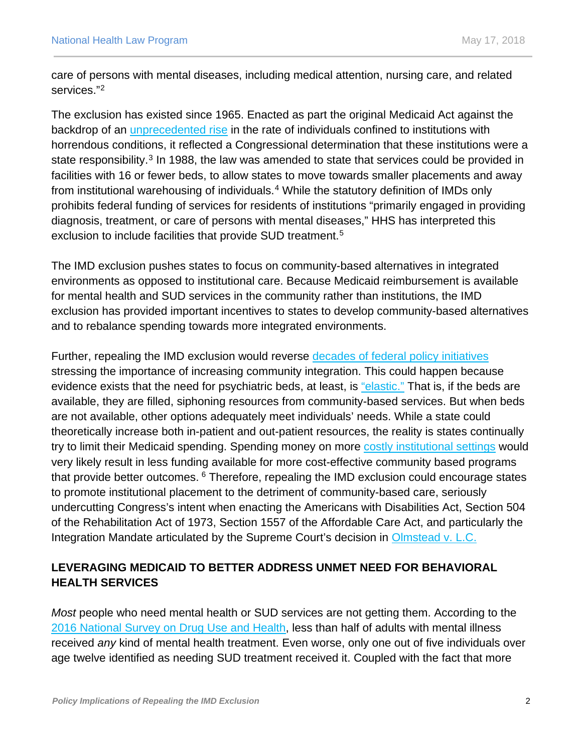care of persons with mental diseases, including medical attention, nursing care, and related services."[2](#page-5-1)

The exclusion has existed since 1965. Enacted as part the original Medicaid Act against the backdrop of an [unprecedented rise](http://prospect.org/article/another-tragedy-another-scapegoat#.Wpf4lriOn61.facebook) in the rate of individuals confined to institutions with horrendous conditions, it reflected a Congressional determination that these institutions were a state responsibility.<sup>[3](#page-5-2)</sup> In 1988, the law was amended to state that services could be provided in facilities with 16 or fewer beds, to allow states to move towards smaller placements and away from institutional warehousing of individuals.<sup>[4](#page-5-3)</sup> While the statutory definition of IMDs only prohibits federal funding of services for residents of institutions "primarily engaged in providing diagnosis, treatment, or care of persons with mental diseases," HHS has interpreted this exclusion to include facilities that provide SUD treatment.<sup>[5](#page-5-4)</sup>

The IMD exclusion pushes states to focus on community-based alternatives in integrated environments as opposed to institutional care. Because Medicaid reimbursement is available for mental health and SUD services in the community rather than institutions, the IMD exclusion has provided important incentives to states to develop community-based alternatives and to rebalance spending towards more integrated environments.

Further, repealing the IMD exclusion would reverse [decades of federal policy initiatives](https://govinfo.library.unt.edu/mentalhealthcommission/reports/FinalReport/FullReport.htm) stressing the importance of increasing community integration. This could happen because evidence exists that the need for psychiatric beds, at least, is ["elastic."](https://ps.psychiatryonline.org/doi/pdf/10.1176/appi.ps.201000145) That is, if the beds are available, they are filled, siphoning resources from community-based services. But when beds are not available, other options adequately meet individuals' needs. While a state could theoretically increase both in-patient and out-patient resources, the reality is states continually try to limit their Medicaid spending. Spending money on more [costly institutional settings](https://www.cbo.gov/sites/default/files/114th-congress-2015-2016/costestimate/hr2646directspendingeffectsoftitlev.pdf) would very likely result in less funding available for more cost-effective community based programs that provide better outcomes. <sup>[6](#page-6-0)</sup> Therefore, repealing the IMD exclusion could encourage states to promote institutional placement to the detriment of community-based care, seriously undercutting Congress's intent when enacting the Americans with Disabilities Act, Section 504 of the Rehabilitation Act of 1973, Section 1557 of the Affordable Care Act, and particularly the Integration Mandate articulated by the Supreme Court's decision in [Olmstead v. L.C.](https://www.law.cornell.edu/supct/html/98-536.ZS.html)

# **LEVERAGING MEDICAID TO BETTER ADDRESS UNMET NEED FOR BEHAVIORAL HEALTH SERVICES**

*Most* people who need mental health or SUD services are not getting them. According to the [2016 National Survey on Drug Use and Health,](https://www.samhsa.gov/data/sites/default/files/NSDUH-FFR1-2016/NSDUH-FFR1-2016.pdf) less than half of adults with mental illness received *any* kind of mental health treatment. Even worse, only one out of five individuals over age twelve identified as needing SUD treatment received it. Coupled with the fact that more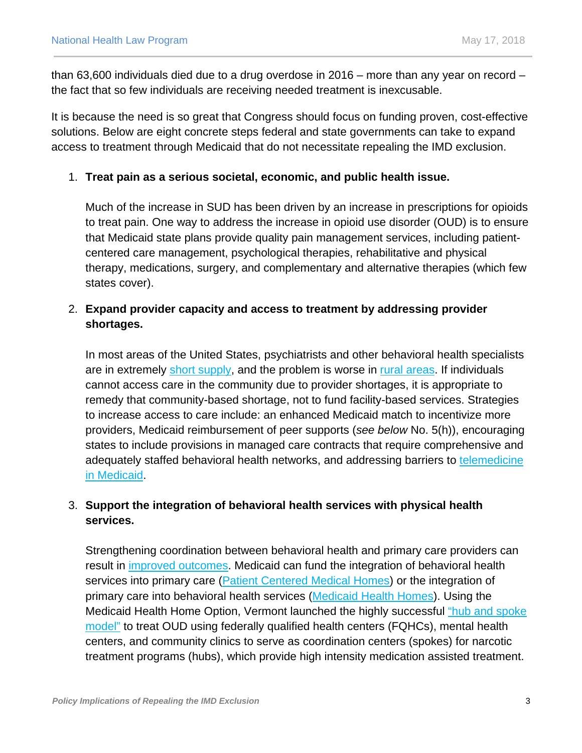than 63,600 individuals died due to a drug overdose in 2016 – more than any year on record – the fact that so few individuals are receiving needed treatment is inexcusable.

It is because the need is so great that Congress should focus on funding proven, cost-effective solutions. Below are eight concrete steps federal and state governments can take to expand access to treatment through Medicaid that do not necessitate repealing the IMD exclusion.

#### 1. **Treat pain as a serious societal, economic, and public health issue.**

Much of the increase in SUD has been driven by an increase in prescriptions for opioids to treat pain. One way to address the increase in opioid use disorder (OUD) is to ensure that Medicaid state plans provide quality pain management services, including patientcentered care management, psychological therapies, rehabilitative and physical therapy, medications, surgery, and complementary and alternative therapies (which few states cover).

## 2. **Expand provider capacity and access to treatment by addressing provider shortages.**

In most areas of the United States, psychiatrists and other behavioral health specialists are in extremely [short supply,](https://bhw.hrsa.gov/sites/default/files/bhw/health-workforce-analysis/research/projections/behavioral-health2013-2025.pdf) and the problem is worse in [rural areas.](https://www.ruralhealthweb.org/NRHA/media/Emerge_NRHA/Advocacy/Policy%20documents/Treating-the-Rural-Opioid-Epidemic_Feb-2017_NRHA-Policy-Paper.pdf) If individuals cannot access care in the community due to provider shortages, it is appropriate to remedy that community-based shortage, not to fund facility-based services. Strategies to increase access to care include: an enhanced Medicaid match to incentivize more providers, Medicaid reimbursement of peer supports (*see below* No. 5(h)), encouraging states to include provisions in managed care contracts that require comprehensive and adequately staffed behavioral health networks, and addressing barriers to telemedicine [in Medicaid.](https://www.medicaid.gov/medicaid/benefits/telemed/index.html)

## 3. **Support the integration of behavioral health services with physical health services.**

Strengthening coordination between behavioral health and primary care providers can result in [improved outcomes.](https://www.milbank.org/wp-content/uploads/2016/05/Evolving-Models-of-BHI.pdf) Medicaid can fund the integration of behavioral health services into primary care [\(Patient Centered Medical Homes\)](http://www.commonwealthfund.org/Publications/In-the-Literature/2012/Nov/States-Are-Implementing-Patient-Centered-Medical-Homes.aspx) or the integration of primary care into behavioral health services [\(Medicaid Health Homes\)](https://www.medicaid.gov/State-Resource-Center/Medicaid-State-Technical-Assistance/Health-Homes-Technical-Assistance/Health-Home-Information-Resource-Center.html). Using the Medicaid Health Home Option, Vermont launched the highly successful ["hub and spoke](https://www.medicaid.gov/State-resource-center/Medicaid-State-Plan-Amendments/Downloads/VT/VT-13-001.pdf)  [model"](https://www.medicaid.gov/State-resource-center/Medicaid-State-Plan-Amendments/Downloads/VT/VT-13-001.pdf) to treat OUD using federally qualified health centers (FQHCs), mental health centers, and community clinics to serve as coordination centers (spokes) for narcotic treatment programs (hubs), which provide high intensity medication assisted treatment.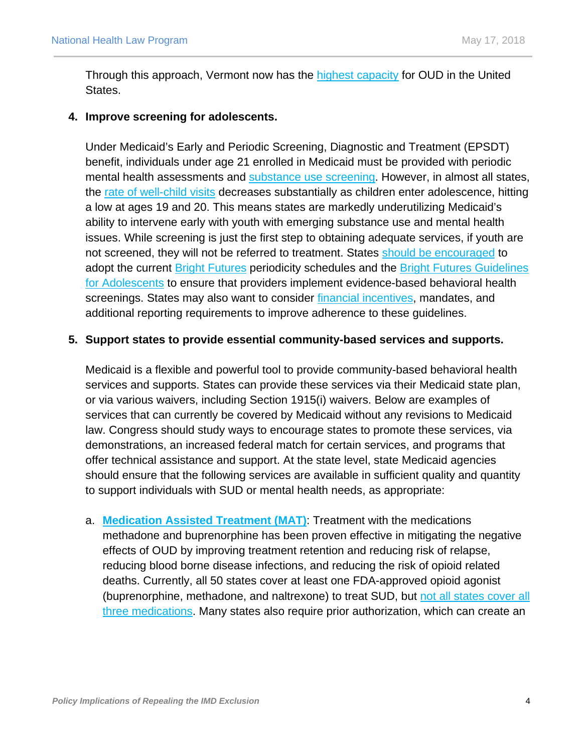Through this approach, Vermont now has the [highest capacity](https://www.ncbi.nlm.nih.gov/pmc/articles/PMC5537005/) for OUD in the United States.

#### **4. Improve screening for adolescents.**

Under Medicaid's Early and Periodic Screening, Diagnostic and Treatment (EPSDT) benefit, individuals under age 21 enrolled in Medicaid must be provided with periodic mental health assessments and [substance use screening.](https://www.medicaid.gov/federal-policy-guidance/downloads/cib-01-26-2015.pdf) However, in almost all states, the [rate of well-child visits](https://www.medicaid.gov/medicaid/benefits/epsdt/index.html) decreases substantially as children enter adolescence, hitting a low at ages 19 and 20. This means states are markedly underutilizing Medicaid's ability to intervene early with youth with emerging substance use and mental health issues. While screening is just the first step to obtaining adequate services, if youth are not screened, they will not be referred to treatment. States [should be encouraged](https://www.medicaid.gov/medicaid/benefits/downloads/paving-the-road-to-good-health.pdf) to adopt the current [Bright Futures](https://www.brightfutures.org/wellchildcare/toolkit/states.html) periodicity schedules and the Bright Futures Guidelines [for Adolescents](https://www.brightfutures.org/wellchildcare/toolkit/pediatric.html#screening) to ensure that providers implement evidence-based behavioral health screenings. States may also want to consider [financial incentives,](https://nashp.org/wp-content/uploads/2016/07/Final-Condensed-BF-Chart-09.28.16.pdf) mandates, and additional reporting requirements to improve adherence to these guidelines.

#### **5. Support states to provide essential community-based services and supports.**

Medicaid is a flexible and powerful tool to provide community-based behavioral health services and supports. States can provide these services via their Medicaid state plan, or via various waivers, including Section 1915(i) waivers. Below are examples of services that can currently be covered by Medicaid without any revisions to Medicaid law. Congress should study ways to encourage states to promote these services, via demonstrations, an increased federal match for certain services, and programs that offer technical assistance and support. At the state level, state Medicaid agencies should ensure that the following services are available in sufficient quality and quantity to support individuals with SUD or mental health needs, as appropriate:

a. **[Medication Assisted Treatment \(MAT\)](https://www.medicaid.gov/federal-policy-guidance/downloads/cib-07-11-2014.pdf)**: Treatment with the medications methadone and buprenorphine has been proven effective in mitigating the negative effects of OUD by improving treatment retention and reducing risk of relapse, reducing blood borne disease infections, and reducing the risk of opioid related deaths. Currently, all 50 states cover at least one FDA-approved opioid agonist (buprenorphine, methadone, and naltrexone) to treat SUD, but [not all states cover all](https://www.kff.org/infographic/medicaids-role-in-addressing-opioid-epidemic/)  [three medications.](https://www.kff.org/infographic/medicaids-role-in-addressing-opioid-epidemic/) Many states also require prior authorization, which can create an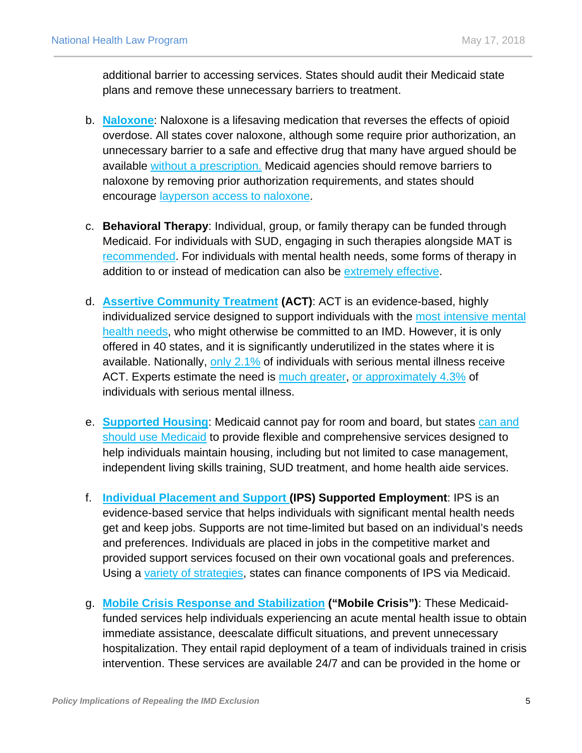additional barrier to accessing services. States should audit their Medicaid state plans and remove these unnecessary barriers to treatment.

- b. **[Naloxone](https://www.samhsa.gov/medication-assisted-treatment/treatment/naloxone)**: Naloxone is a lifesaving medication that reverses the effects of opioid overdose. All states cover naloxone, although some require prior authorization, an unnecessary barrier to a safe and effective drug that many have argued should be available [without a prescription.](https://www.nytimes.com/2017/08/18/opinion/overdose-naloxone-opioids-trump.html) Medicaid agencies should remove barriers to naloxone by removing prior authorization requirements, and states should encourage [layperson access to naloxone.](http://www.japha.org/article/S1544-3191(16)30890-1/fulltext)
- c. **Behavioral Therapy**: Individual, group, or family therapy can be funded through Medicaid. For individuals with SUD, engaging in such therapies alongside MAT is [recommended.](https://www.medicaid.gov/federal-policy-guidance/downloads/cib-07-11-2014.pdf) For individuals with mental health needs, some forms of therapy in addition to or instead of medication can also be [extremely effective.](https://jamanetwork.com/journals/jamapsychiatry/fullarticle/2517515)
- d. **[Assertive Community Treatment](https://www.centerforebp.case.edu/client-files/pdf/actgettingstartedguide.pdf) (ACT)**: ACT is an evidence-based, highly individualized service designed to support individuals with the [most intensive mental](https://store.samhsa.gov/shin/content/SMA08-4345/BuildingYourProgram-ACT.pdf)  [health needs,](https://store.samhsa.gov/shin/content/SMA08-4345/BuildingYourProgram-ACT.pdf) who might otherwise be committed to an IMD. However, it is only offered in 40 states, and it is significantly underutilized in the states where it is available. Nationally, [only 2.1%](https://wwwdasis.samhsa.gov/dasis2/urs.htm) of individuals with serious mental illness receive ACT. Experts estimate the need is [much greater,](https://www.justice.gov/sites/default/files/crt/legacy/2014/01/28/oregonmh_interimrpt_1-2-14.pdf) [or approximately 4.3%](https://ps.psychiatryonline.org/doi/full/10.1176/ps.2006.57.12.1803) of individuals with serious mental illness.
- e. **[Supported Housing](http://www.bazelon.org/wp-content/uploads/2017/04/supportive-housing-fact-sheet.pdf)**: Medicaid cannot pay for room and board, but states [can and](https://www.cbpp.org/blog/medicaid-works-medicaid-is-an-essential-partner-for-supportive-housing)  [should use Medicaid](https://www.cbpp.org/blog/medicaid-works-medicaid-is-an-essential-partner-for-supportive-housing) to provide flexible and comprehensive services designed to help individuals maintain housing, including but not limited to case management, independent living skills training, SUD treatment, and home health aide services.
- f. **[Individual Placement and Support](https://ipsworks.org/index.php/2017/07/13/making-the-case-for-ips-supported-employment/) (IPS) Supported Employment**: IPS is an evidence-based service that helps individuals with significant mental health needs get and keep jobs. Supports are not time-limited but based on an individual's needs and preferences. Individuals are placed in jobs in the competitive market and provided support services focused on their own vocational goals and preferences. Using a [variety of strategies,](https://aspe.hhs.gov/basic-report/federal-financing-supported-employment-and-customized-employment-people-mental-illnesses-final-report#funding) states can finance components of IPS via Medicaid.
- g. **[Mobile Crisis Response and Stabilization](http://store.samhsa.gov/shin/content/SMA14-4848/SMA14-4848.pdf) ("Mobile Crisis")**: These Medicaidfunded services help individuals experiencing an acute mental health issue to obtain immediate assistance, deescalate difficult situations, and prevent unnecessary hospitalization. They entail rapid deployment of a team of individuals trained in crisis intervention. These services are available 24/7 and can be provided in the home or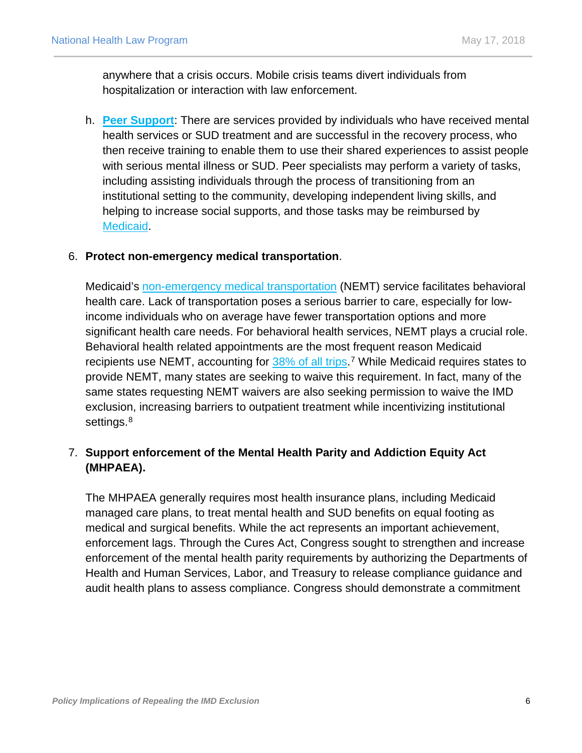anywhere that a crisis occurs. Mobile crisis teams divert individuals from hospitalization or interaction with law enforcement.

h. **[Peer Support](https://www.samhsa.gov/brss-tacs/recovery-support-tools/peers)**: There are services provided by individuals who have received mental health services or SUD treatment and are successful in the recovery process, who then receive training to enable them to use their shared experiences to assist people with serious mental illness or SUD. Peer specialists may perform a variety of tasks, including assisting individuals through the process of transitioning from an institutional setting to the community, developing independent living skills, and helping to increase social supports, and those tasks may be reimbursed by [Medicaid.](https://downloads.cms.gov/cmsgov/archived-downloads/SMDL/downloads/SMD081507A.pdf)

#### 6. **Protect non-emergency medical transportation**.

Medicaid's [non-emergency medical transportation](http://www.healthlaw.org/publications/search-publications/current-issuesNEMT) (NEMT) service facilitates behavioral health care. Lack of transportation poses a serious barrier to care, especially for lowincome individuals who on average have fewer transportation options and more significant health care needs. For behavioral health services, NEMT plays a crucial role. Behavioral health related appointments are the most frequent reason Medicaid recipients use NEMT, accounting for [38% of all trips.](https://www.kff.org/report-section/medicaid-non-emergency-medical-transportation-overview-and-key-issues-in-medicaid-expansion-waivers-issue-brief/)<sup>[7](#page-6-1)</sup> While Medicaid requires states to provide NEMT, many states are seeking to waive this requirement. In fact, many of the same states requesting NEMT waivers are also seeking permission to waive the IMD exclusion, increasing barriers to outpatient treatment while incentivizing institutional settings.<sup>[8](#page-6-2)</sup>

## 7. **Support enforcement of the Mental Health Parity and Addiction Equity Act (MHPAEA).**

<span id="page-5-4"></span><span id="page-5-3"></span><span id="page-5-2"></span><span id="page-5-1"></span><span id="page-5-0"></span>The MHPAEA generally requires most health insurance plans, including Medicaid managed care plans, to treat mental health and SUD benefits on equal footing as medical and surgical benefits. While the act represents an important achievement, enforcement lags. Through the Cures Act, Congress sought to strengthen and increase enforcement of the mental health parity requirements by authorizing the Departments of Health and Human Services, Labor, and Treasury to release compliance guidance and audit health plans to assess compliance. Congress should demonstrate a commitment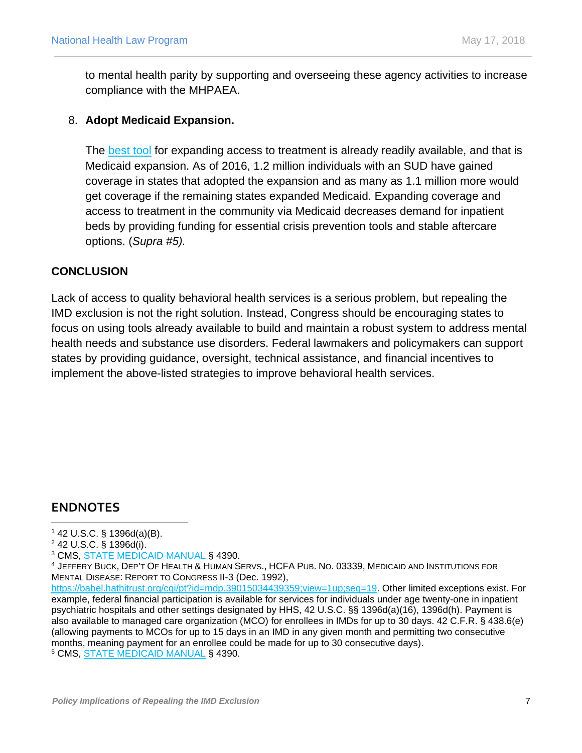to mental health parity by supporting and overseeing these agency activities to increase compliance with the MHPAEA.

#### <span id="page-6-0"></span>8. **Adopt Medicaid Expansion.**

The **best tool** for expanding access to treatment is already readily available, and that is Medicaid expansion. As of 2016, 1.2 million individuals with an SUD have gained coverage in states that adopted the expansion and as many as 1.1 million more would get coverage if the remaining states expanded Medicaid. Expanding coverage and access to treatment in the community via Medicaid decreases demand for inpatient beds by providing funding for essential crisis prevention tools and stable aftercare options. (*Supra #5).*

#### <span id="page-6-2"></span><span id="page-6-1"></span>**CONCLUSION**

Lack of access to quality behavioral health services is a serious problem, but repealing the IMD exclusion is not the right solution. Instead, Congress should be encouraging states to focus on using tools already available to build and maintain a robust system to address mental health needs and substance use disorders. Federal lawmakers and policymakers can support states by providing guidance, oversight, technical assistance, and financial incentives to implement the above-listed strategies to improve behavioral health services.

# **ENDNOTES**

<sup>2</sup> 42 U.S.C. § 1396d(i).

 $142$  U.S.C. § 1396d(a)(B).  $\overline{a}$ 

<sup>3</sup> CMS, [STATE MEDICAID MANUAL](https://www.cms.gov/Regulations-and-Guidance/Guidance/Manuals/Paper-Based-Manuals-Items/CMS021927.html) § 4390.

<sup>4</sup> JEFFERY BUCK, DEP'T OF HEALTH & HUMAN SERVS., HCFA PUB. NO. 03339, MEDICAID AND INSTITUTIONS FOR MENTAL DISEASE: REPORT TO CONGRESS II-3 (Dec. 1992),

[https://babel.hathitrust.org/cgi/pt?id=mdp.39015034439359;view=1up;seq=19.](https://babel.hathitrust.org/cgi/pt?id=mdp.39015034439359;view=1up;seq=19) Other limited exceptions exist. For example, federal financial participation is available for services for individuals under age twenty-one in inpatient psychiatric hospitals and other settings designated by HHS, 42 U.S.C. §§ 1396d(a)(16), 1396d(h). Payment is also available to managed care organization (MCO) for enrollees in IMDs for up to 30 days. 42 C.F.R. § 438.6(e) (allowing payments to MCOs for up to 15 days in an IMD in any given month and permitting two consecutive months, meaning payment for an enrollee could be made for up to 30 consecutive days).

<sup>5</sup> CMS, [STATE MEDICAID MANUAL](https://www.cms.gov/Regulations-and-Guidance/Guidance/Manuals/Paper-Based-Manuals-Items/CMS021927.html) § 4390.